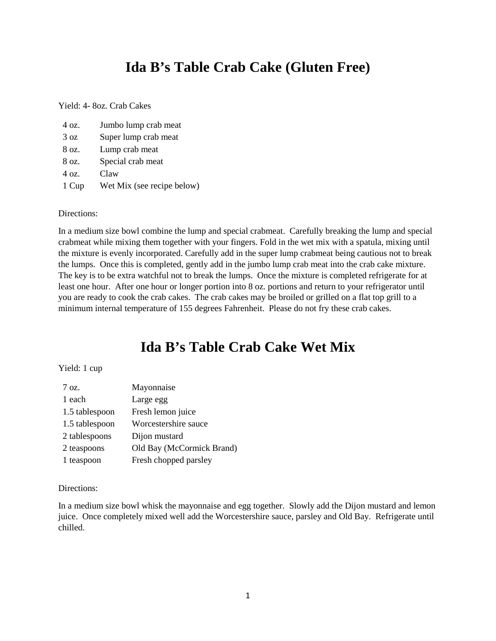## **Ida B's Table Crab Cake (Gluten Free)**

Yield: 4- 8oz. Crab Cakes

| 4 oz. | Jumbo lump crab meat       |
|-------|----------------------------|
| 3 oz  | Super lump crab meat       |
| 8 oz. | Lump crab meat             |
| 8 oz. | Special crab meat          |
| 4 oz. | Claw                       |
| 1 Cup | Wet Mix (see recipe below) |

#### Directions:

In a medium size bowl combine the lump and special crabmeat. Carefully breaking the lump and special crabmeat while mixing them together with your fingers. Fold in the wet mix with a spatula, mixing until the mixture is evenly incorporated. Carefully add in the super lump crabmeat being cautious not to break the lumps. Once this is completed, gently add in the jumbo lump crab meat into the crab cake mixture. The key is to be extra watchful not to break the lumps. Once the mixture is completed refrigerate for at least one hour. After one hour or longer portion into 8 oz. portions and return to your refrigerator until you are ready to cook the crab cakes. The crab cakes may be broiled or grilled on a flat top grill to a minimum internal temperature of 155 degrees Fahrenheit. Please do not fry these crab cakes.

## **Ida B's Table Crab Cake Wet Mix**

#### Yield: 1 cup

| $7 \Omega$ .   | Mayonnaise                |
|----------------|---------------------------|
| 1 each         | Large egg                 |
| 1.5 tablespoon | Fresh lemon juice         |
| 1.5 tablespoon | Worcestershire sauce      |
| 2 tablespoons  | Dijon mustard             |
| 2 teaspoons    | Old Bay (McCormick Brand) |
| 1 teaspoon     | Fresh chopped parsley     |

#### Directions:

In a medium size bowl whisk the mayonnaise and egg together. Slowly add the Dijon mustard and lemon juice. Once completely mixed well add the Worcestershire sauce, parsley and Old Bay. Refrigerate until chilled.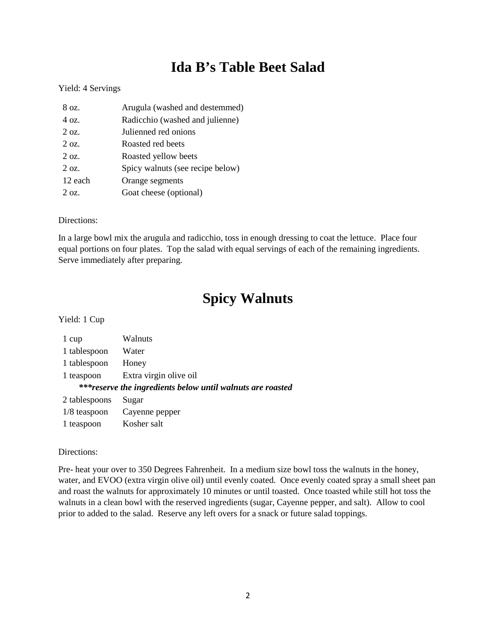# **Ida B's Table Beet Salad**

#### Yield: 4 Servings

| 8 oz.      | Arugula (washed and destemmed)   |
|------------|----------------------------------|
| 4 oz.      | Radicchio (washed and julienne)  |
| $2 \Omega$ | Julienned red onions             |
| $2 \Omega$ | Roasted red beets                |
| $2 \Omega$ | Roasted yellow beets             |
| $2 \Omega$ | Spicy walnuts (see recipe below) |
| 12 each    | Orange segments                  |
| $2 \Omega$ | Goat cheese (optional)           |

#### Directions:

In a large bowl mix the arugula and radicchio, toss in enough dressing to coat the lettuce. Place four equal portions on four plates. Top the salad with equal servings of each of the remaining ingredients. Serve immediately after preparing.

## **Spicy Walnuts**

Yield: 1 Cup

| 1 cup                                                       | Walnuts                |  |
|-------------------------------------------------------------|------------------------|--|
| 1 tablespoon                                                | Water                  |  |
| 1 tablespoon                                                | Honey                  |  |
| 1 teaspoon                                                  | Extra virgin olive oil |  |
| *** reserve the ingredients below until walnuts are roasted |                        |  |
|                                                             |                        |  |
| 2 tablespoons                                               | Sugar                  |  |
| $1/8$ teaspoon                                              | Cayenne pepper         |  |

#### Directions:

Pre- heat your over to 350 Degrees Fahrenheit. In a medium size bowl toss the walnuts in the honey, water, and EVOO (extra virgin olive oil) until evenly coated. Once evenly coated spray a small sheet pan and roast the walnuts for approximately 10 minutes or until toasted. Once toasted while still hot toss the walnuts in a clean bowl with the reserved ingredients (sugar, Cayenne pepper, and salt). Allow to cool prior to added to the salad. Reserve any left overs for a snack or future salad toppings.